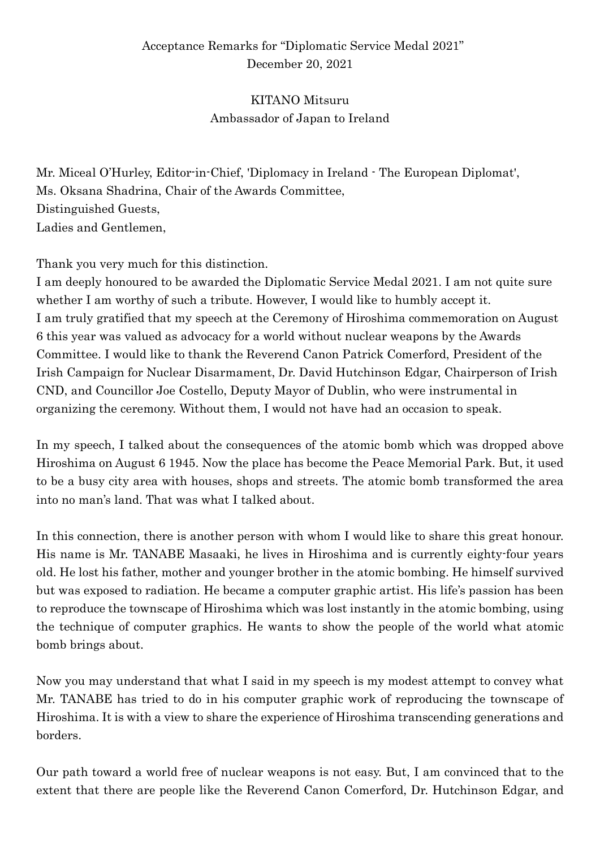## Acceptance Remarks for "Diplomatic Service Medal 2021" December 20, 2021

## KITANO Mitsuru Ambassador of Japan to Ireland

Mr. Miceal O'Hurley, Editor-in-Chief, 'Diplomacy in Ireland - The European Diplomat', Ms. Oksana Shadrina, Chair of the Awards Committee, Distinguished Guests, Ladies and Gentlemen,

Thank you very much for this distinction.

I am deeply honoured to be awarded the Diplomatic Service Medal 2021. I am not quite sure whether I am worthy of such a tribute. However, I would like to humbly accept it. I am truly gratified that my speech at the Ceremony of Hiroshima commemoration on August 6 this year was valued as advocacy for a world without nuclear weapons by the Awards Committee. I would like to thank the Reverend Canon Patrick Comerford, President of the Irish Campaign for Nuclear Disarmament, Dr. David Hutchinson Edgar, Chairperson of Irish CND, and Councillor Joe Costello, Deputy Mayor of Dublin, who were instrumental in organizing the ceremony. Without them, I would not have had an occasion to speak.

In my speech, I talked about the consequences of the atomic bomb which was dropped above Hiroshima on August 6 1945. Now the place has become the Peace Memorial Park. But, it used to be a busy city area with houses, shops and streets. The atomic bomb transformed the area into no man's land. That was what I talked about.

In this connection, there is another person with whom I would like to share this great honour. His name is Mr. TANABE Masaaki, he lives in Hiroshima and is currently eighty-four years old. He lost his father, mother and younger brother in the atomic bombing. He himself survived but was exposed to radiation. He became a computer graphic artist. His life's passion has been to reproduce the townscape of Hiroshima which was lost instantly in the atomic bombing, using the technique of computer graphics. He wants to show the people of the world what atomic bomb brings about.

Now you may understand that what I said in my speech is my modest attempt to convey what Mr. TANABE has tried to do in his computer graphic work of reproducing the townscape of Hiroshima. It is with a view to share the experience of Hiroshima transcending generations and borders.

Our path toward a world free of nuclear weapons is not easy. But, I am convinced that to the extent that there are people like the Reverend Canon Comerford, Dr. Hutchinson Edgar, and